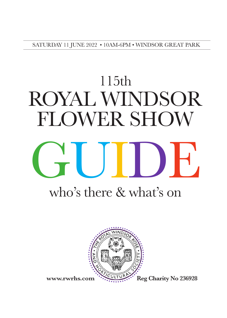SATURDAY 11 JUNE 2022 • 10AM-6PM • WINDSOR GREAT PARK

# 115th ROYAL WINDSOR FLOWER SHOW GUIDE



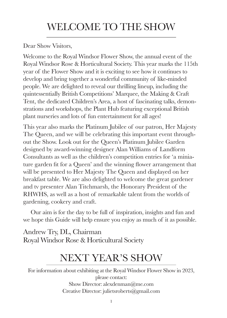## WELCOME TO THE SHOW

Dear Show Visitors,

Welcome to the Royal Windsor Flower Show, the annual event of the Royal Windsor Rose & Horticultural Society. This year marks the 115th year of the Flower Show and it is exciting to see how it continues to develop and bring together a wonderful community of like-minded people. We are delighted to reveal our thrilling lineup, including the quintessentially British Competitions' Marquee, the Making & Craft Tent, the dedicated Children's Area, a host of fascinating talks, demonstrations and workshops, the Plant Hub featuring exceptional British plant nurseries and lots of fun entertainment for all ages!

This year also marks the Platinum Jubilee of our patron, Her Majesty The Queen, and we will be celebrating this important event throughout the Show. Look out for the Queen's Platinum Jubilee Garden designed by award-winning designer Alan Williams of Landform Consultants as well as the children's competition entries for 'a miniature garden fit for a Queen' and the winning flower arrangement that will be presented to Her Majesty The Queen and displayed on her breakfast table. We are also delighted to welcome the great gardener and tv presenter Alan Titchmarsh, the Honorary President of the RHWHS, as well as a host of remarkable talent from the worlds of gardening, cookery and craft.

 Our aim is for the day to be full of inspiration, insights and fun and we hope this Guide will help ensure you enjoy as much of it as possible.

Andrew Try, DL, Chairman Royal Windsor Rose & Horticultural Society

## NEXT YEAR'S SHOW

For information about exhibiting at the Royal Windsor Flower Show in 2023, please contact: Show Director: alexdenman@me.com Creative Director: julietsroberts@gmail.com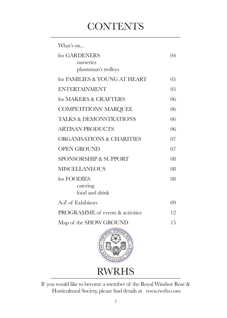## **CONTENTS**

| What's on                            |                |
|--------------------------------------|----------------|
| for GARDENERS                        | 04             |
| nurseries                            |                |
| plantsman's trolleys                 |                |
| for FAMILIES & YOUNG AT HEART        | 0 <sub>5</sub> |
| <b>ENTERTAINMENT</b>                 | 0.5            |
| for MAKERS & CRAFTERS                | 06             |
| <b>COMPETITIONS' MARQUEE</b>         | 06             |
| <b>TALKS &amp; DEMONSTRATIONS</b>    | 06             |
| <b>ARTISAN PRODUCTS</b>              | 06             |
| <b>ORGANISATIONS &amp; CHARITIES</b> | 07             |
| <b>OPEN GROUND</b>                   | 07             |
| <b>SPONSORSHIP &amp; SUPPORT</b>     | 08             |
| <b>MISCELLANEOUS</b>                 | 08             |
| for FOODIES                          | 08             |
| catering                             |                |
| food and drink                       |                |
| A-Z of Exhibitors                    | 09             |
| PROGRAMME of events & activities     | 12             |
| Map of the SHOW GROUND               | 15             |
|                                      |                |



If you would like to become a member of the Royal Windsor Rose & Horticultural Society, please find details at www.rwrhs.com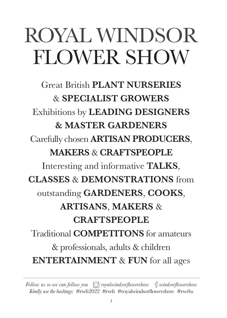## ROYAL WINDSOR FLOWER SHOW

Great British **PLANT NURSERIES** & **SPECIALIST GROWERS** Exhibitions by **LEADING DESIGNERS & MASTER GARDENERS** Carefully chosen **ARTISAN PRODUCERS**, **MAKERS** & **CRAFTSPEOPLE** Interesting and informative **TALKS**, **CLASSES** & **DEMONSTRATIONS** from outstanding **GARDENERS**, **COOKS**, **ARTISANS**, **MAKERS** & **CRAFTSPEOPLE** Traditional **COMPETITONS** for amateurs & professionals, adults & children **ENTERTAINMENT** & **FUN** for all ages

*Follow us so we can follow you*  $\lbrack \odot \rbrack$  *royalwindsorflowershow*  $\lbrack \cdots \rbrack$ *f windsorflowershow Kindly use the hashtags:* #rwfs2022 #rwfs #royalwindsorflowershow#rwrhs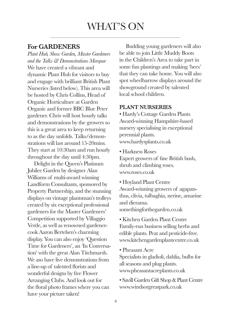### WHAT'S ON

#### **For GARDENERS**

*Plant Hub, Show Garden, Master Gardeners and the Talks & Demonstrations Marquee* We have created a vibrant and dynamic Plant Hub for visitors to buy and engage with brilliant British Plant Nurseries (listed below). This area will be hosted by Chris Collins, Head of Organic Horticulture at Garden Organic and former BBC Blue Peter gardener. Chris will host hourly talks and demonstrations by the growers so this is a great area to keep returning to as the day unfolds. Talks/demonstrations will last around 15-20mins. They start at 10:30am and run hourly throughout the day until 4:30pm.

 Delight in the Queen's Platinum Jubilee Garden by designer Alan Williams of multi-award winning Landform Consultants, sponsored by Property Partnership, and the stunning displays on vintage plantsman's trolleys created by six exceptional professional gardeners for the Master Gardeners' Competition supported by Villaggio Verde, as well as renowned gardenercook Aaron Bertelsen's charming display. You can also enjoy 'Question Time for Gardeners', an 'In Conversation' with the great Alan Titchmarsh. We aso have live demonstrations from a line-up of talented florists and wonderful designs by five Flower Arranging Clubs. And look out for the floral photo frames where you can have your picture taken!

 Budding young gardeners will also be able to join Little Muddy Boots in the Children's Area to take part in some fun plantings and making 'bees' that they can take home. You will also spot wheelbarrow displays around the showground created by talented local school children.

#### **PLANT NURSERIES**

• Hardy's Cottage Garden Plants Award-winning Hampshire-based nursery specialising in exceptional perennial plants. www.hardysplants.co.uk

• Harkness Roses Expert growers of fine British bush, shrub and climbing roses. www.roses.co.uk

• Hoyland Plant Centre Award-winning growers of agapanthus, clivia, tulbaghia, nerine, amarine and dierama. somethingforthegarden.co.uk

• Kitchen Garden Plant Centre Family-run business selling herbs and edible plants. Peat and pesticide-free. www.kitchengardenplantcentre.co.uk

• Pheasant Acre

Specialists in gladioli, dahlia, bulbs for all seasons and plug plants. www.pheasantacreplants.co.uk

• Savill Garden Gift Shop & Plant Centre www.windsorgreatpark.co.uk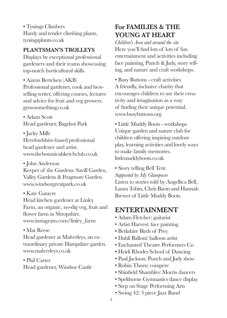• Tynings Climbers Hardy and tender climbing plants. tyningsplants.co.uk

#### **PLANTSMAN'S TROLLEYS**

Displays by exceptional professional gardeners and their teams showcasing top-notch horticultural skills.

• Aaron Bertelsen (AKB) Professional gardener, cook and bestselling writer, offering courses, lectures and advice for fruit and veg growers. growsomething.co.uk

• Adam Scott Head gardener, Bagshot Park

• Jacky Mills Herefordshire-based professional head gardener and artist. www.thebotanicalsketchclub.co.uk

• John Anderson

Keeper of the Gardens: Savill Garden, Valley Gardens & Frogmore Garden. www.windsorgreatpark.co.uk

• Kate Gatacre

Head kitchen gardener at Linley Farm, an organic, no-dig veg, fruit and flower farm in Shropshire. www.instagram.com/linley\_farm

• Mat Reese

Head gardener at Malverleys, an extraordinary private Hampshire garden. www.malverleys.co.uk

• Phil Carter

Head gardener, Windsor Castle

#### **For FAMILIES & THE YOUNG AT HEART**

*Children's Area and around the site* Here you'll find lots of lots of fun entertainment and activities including face painting, Punch & Judy, story telling, and nature and craft workshops.

• Busy Buttons - craft activities A friendly, inclusive charity that encourages children to use their creativity and imagination as a way of finding their unique potential. www.busybuttons.org

• Little Muddy Boots - workshops Unique garden and nature club for children offering inspiring outdoor play, learning activities and lovely ways to make family memories. littlemuddyboots.co.uk

• Story telling Bell Tent *Supported by My Glampover* Listen to stories told by Angellica Bell, Laura Tobin, Chris Bavin and Hannah Brewer of Little Muddy Boots.

#### **ENTERTAINMENT**

- Adam Fletcher: guitarist
- Artist Harvest: face painting
- Berkshire Birds of Prey
- Dahli Balloni: balloon artist
- Enchanted Theatre Performers Co
- Heidi Rhodes School of Dancing
- Paul Jackson: Punch and Judy show
- Robin Thorn: compere
- Shinfield Shambles: Morris dancers
- Spelthorne Gymnastics dance display
- Step on Stage Performing Arts
- Swing 42: 3 piece Jazz Band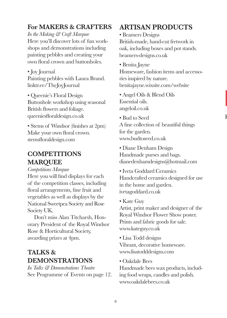### $\mathbf F$

#### **For MAKERS & CRAFTERS**

*In the Making & Craft Marquee* Here you'll discover lots of fun workshops and demonstrations including painting pebbles and creating your own floral crown and buttonholes.

• Joy Journal Painting pebbles with Laura Brand. linktr.ee/TheJoyJournal

• Queenie's Floral Design Buttonhole workshop using seasonal British flowers and foliage. queeniesfloraldesign.co.uk

• Stems of Windsor (finishes at 2pm) Make your own floral crown. stemsfloraldesign.com

#### **COMPETITIONS MARQUEE**

*Competitions Marquee*

Here you will find displays for each of the competition classes, including floral arrangements, fine fruit and vegetables as well as displays by the National Sweetpea Society and Rose Society UK.

 Don't miss Alan Titcharsh, Honorary President of the Royal Windsor Rose & Horticultural Society, awarding prizes at 4pm.

#### **TALKS & DEMONSTRATIONS**

*In Talks & Demonstrations Theatre* See Programme of Events on page 12.

#### **ARTISAN PRODUCTS**

• Beamers Designs

British-made, hand-cut fretwork in oak, including boxes and pot stands. beamers-designs.co.uk

• Benita Jayne

Homeware, fashion items and accessories inspired by nature. benitajayne.wixsite.com/website

- Angel Oils & Blend Oils Essential oils. angeloil.co.uk
- Bud to Seed

A fine collection of beautiful things for the garden. www.budtoseed.co.uk

• Diane Denham Design Handmade purses and bags. dianedenhamdesigns@hotmail.com

- Iveta Goddard Ceramics Handcrafted ceramics designed for use in the home and garden. ivetagoddard.co.uk
- Kate Guy

Artist, print maker and designer of the Royal Windsor Flower Show poster. Prints and fabric goods for sale. www.kateguy.co.uk

- Lisa Todd designs Vibrant, decorative homeware. www.lisatodddesigns.com
- Oakdale Bees

Handmade bees wax products, including food wraps, candles and polish. www.oakdalebees.co.uk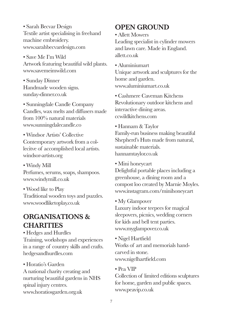• Sarah Becvar Design Textile artist specialising in freehand machine embroidery. www.sarahbecvardesign.com

• Save Me I'm Wild Artwork featuring beautiful wild plants. www.savemeimwild.com

• Sunday Dinner Handmade wooden signs. sunday-dinner.co.uk

• Sunningdale Candle Company Candles, wax melts and diffusers made from 100% natural materials www.sunningdalecandle.co

• Windsor Artists' Collective Contemporary artwork from a collecitve of accomplished local artists. windsor-artists.org

• Windy Mill Perfumes, serums, soaps, shampoos. www.windymill.co.uk

• Wood like to Play Traditional wooden toys and puzzles. www.woodliketoplay.co.uk

#### **ORGANISATIONS & CHARITIES**

• Hedges and Hurdles Training, workshops and experiences in a range of country skills and crafts. hedgesandhurdles.com

• Horatio's Garden A national charity creating and nurturing beautiful gardens in NHS spinal injury centres. www.horatiosgarden.org.uk

#### **OPEN GROUND**

• Allett Mowers

Leading specialist in cylinder mowers and lawn care. Made in England. allett.co.uk

• Aluminiumart

Unique artwork and sculptures for the home and garden. www.aluminiumart.co.uk

• Cashmere Caveman Kitchens Revolutionary outdoor kitchens and interactive dining areas. ccwildkitchens.com

• Hannam & Taylor Family-run business making beautiful Shepherd's Huts made from natural, sustainable materials. hannamtaylor.co.uk

• Mini honeycart

Delightful portable places including a greenhouse, a dining room and a compost loo created by Marnie Moyles. www.instagram.com/minihoneycart

• My Glampover

Luxury indoor teepees for magical sleepovers, picnics, wedding corners for kids and bell tent parties. www.myglampover.co.uk

• Nigel Hartfield Works of art and memorials handcarved in stone. www.nigelhartfield.com

#### • Pea VIP

Collection of limited editions sculptures for home, garden and public spaces. www.peavip.co.uk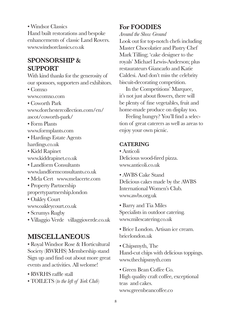• Windsor Classics Hand built restorations and bespoke enhancements of classic Land Rovers. www.windsorclassics.co.uk

#### **SPONSORSHIP & SUPPORT**

With kind thanks for the generosity of our sponsors, supporters and exhibitors. • Comxo www.comxo.com • Coworth Park www.dorchestercollection.com/en/ ascot/coworth-park/ • Form Plants www.formplants.com • Hardings Estate Agents hardings.co.uk • Kidd Rapinet www.kiddrapinet.co.uk • Landform Consultants www.landformconsultants.co.uk • Mela Cert www.melacerte.com • Property Partnership propertypartnership.london • Oakley Court www.oakleycourt.co.uk • Scrumys Rugby • Villaggio Verde villaggioverde.co.uk

#### **MISCELLANEOUS**

• Royal Windsor Rose & Horticultural Society (RWRHS) Membership stand Sign up and find out about more great events and activities. All welome!

- RWRHS raffle stall
- TOILETS (*to the left of York Club*)

#### **For FOODIES**

*Around the Show Ground*

Look out for top-notch chefs including Master Chocolatier and Pastry Chef Mark Tilling; 'cake designer to the royals' Michael Lewis-Anderson; plus restaurateurs Giancarlo and Katie Caldesi. And don't miss the celebrity biscuit-decorating competition.

 In the Competitions' Marquee, it's not just about flowers, there will be plenty of fine vegetables, fruit and home-made produce on display too.

 Feeling hungry? You'll find a selection of great caterers as well as areas to enjoy your own picnic.

#### **CATERING**

• Anticoli Delicious wood-fired pizza. www.anticoli.co.uk

• AWBS Cake Stand

Delicious cakes made by the AWBS International Women's Club. www.awbs.org.uk

- Barry and Tia Miles Specialists in outdoor catering. www.milescatering.co.uk
- Brice London. Artisan ice cream. bricelondon.uk
- Chipsmyth, The Hand-cut chips with delicious toppings. www.thechipsmyth.com
- Green Bean Coffee Co. High quality craft coffee, exceptional teas and cakes. www.greenbeancoffee.co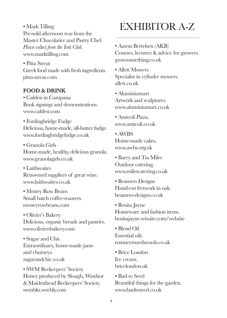• Mark Tilling Pre-sold afternoon teas from the Master Chocolatier and Pastry Chef. *Please collect from the York Club.* www.marktilling.com

• Pitta Streat Greek food made with fresh ingredients. pitta-streat.com

#### **FOOD & DRINK**

• Caldesi in Campana Book signings and demonstrations. www.caldesi.com

• Fordingbridge Fudge Delicious, home-made, all-butter fudge. www.fordingbridgefudge.co.uk

• Granola Girls Home-made, healthy, delicious granola. www.granolagirls.co.uk

• Laithwaites Renowned suppliers of great wine. www.laithwaites.co.uk

• Money Row Beans Small batch coffee-roasters. moneyrowbeans.com

• Olivier's Bakery Delicious, organic breads and pastries. www.oliviersbakery.com

• Sugar and Chic Extraordinary, home-made jams and chutneys. sugarandchic.co.uk

• SWM Beekeepers' Society Honey produced by Slough, Windsor & Maidenhead Beekeepers' Society. swmbks.weebly.com

## EXHIBITOR A-Z

• Aaron Bertelsen (AKB) Courses, lectures & advice for growers. growsomething.co.uk

• Allett Mowers Specialist in cylinder mowers. allett.co.uk

• Aluminiumart Artwork and sculptures. www.aluminiumart.co.uk

• Anticoli Pizza. www.anticoli.co.uk

• AWBS Home-made cakes. www.awbs.org.uk

• Barry and Tia Miles Outdoor catering. www.milescatering.co.uk

• Beamers Designs Hand-cut fretwork in oak. beamers-designs.co.uk

• Benita Jayne Homeware and fashion items. benitajayne.wixsite.com/website

• Blend Oil Essential oils romneymarshwools.co.uk

• Brice London Ice cream. bricelondon.uk

• Bud to Seed Beautiful things for the garden. www.budtoseed.co.uk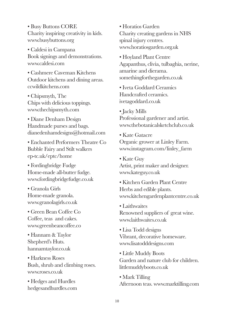• Busy Buttons CORE Charity inspiring creativity in kids. www.busybuttons.org

• Caldesi in Campana Book signings and demonstrations. www.caldesi.com

• Cashmere Caveman Kitchens Outdoor kitchens and dining areas. ccwildkitchens.com

• Chipsmyth, The Chips with delicious toppings. www.thechipsmyth.com

• Diane Denham Design Handmade purses and bags. dianedenhamdesigns@hotmail.com

• Enchanted Performers Theatre Co Bubble Fairy and Stilt walkers ep-tc.uk/eptc/home

• Fordingbridge Fudge Home-made all-butter fudge. www.fordingbridgefudge.co.uk

• Granola Girls Home-made granola. www.granolagirls.co.uk

• Green Bean Coffee Co Coffee, teas and cakes. www.greenbeancoffee.co

• Hannam & Taylor Shepherd's Huts. hannamtaylor.co.uk

• Harkness Roses Bush, shrub and climbing roses. www.roses.co.uk

• Hedges and Hurdles hedgesandhurdles.com • Horatios Garden Charity creating gardens in NHS spinal injury centres. www.horatiosgarden.org.uk

• Hoyland Plant Centre Agapanthus, clivia, tulbaghia, nerine, amarine and dierama. somethingforthegarden.co.uk

• Iveta Goddard Ceramics Handcrafted ceramics. ivetagoddard.co.uk

• Jacky Mills Professional gardener and artist. www.thebotanicalsketchclub.co.uk

• Kate Gatacre Organic grower at Linley Farm. www.instagram.com/linley\_farm

• Kate Guy Artist, print maker and designer. www.kateguy.co.uk

• Kitchen Garden Plant Centre Herbs and edible plants. www.kitchengardenplantcentre.co.uk

• Laithwaites Renowned suppliers of great wine. www.laithwaites.co.uk

• Lisa Todd designs Vibrant, decorative homeware. www.lisatodddesigns.com

• Little Muddy Boots Garden and nature club for children. littlemuddyboots.co.uk

• Mark Tilling Afternoon teas. www.marktilling.com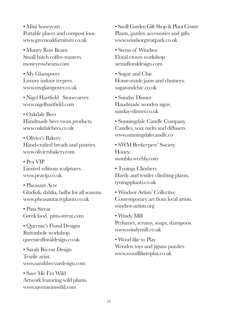• Mini honeycart Portable places and compost loos. www.greenoakfurniture.co.uk

• Money Row Beans Small batch coffee-roasters. moneyrowbeans.com

• My Glampover Luxury indoor teepees. www.myglampover.co.uk

• Nigel Hartfield Stonecarver. www.nigelhartfield.com

• Oakdale Bees Handmade bees vwax products. www.oakdalebees.co.uk

• Olivier's Bakery Hand-crafted breads and pastries. www.oliviersbakery.com

• Pea VIP Limited editions sculptures. www.peavip.co.uk

• Pheasant Acre Gladioli, dahlia, bulbs for all seasons. www.pheasantacreplants.co.uk

• Pitta Streat Greek food. pitta-streat.com

• Queenie's Floral Designs Buttonhole workshop. queeniesfloraldesign.co.uk

• Sarah Becvar Design Textile artist. www.sarahbecvardesign.com

• Save Me I'm Wild Artwork featuring wild plants. www.savemeimwild.com

• Savill Garden Gift Shop & Plant Centre Plants, garden accessories and gifts. www.windsorgreatpark.co.uk

• Stems of Windsor Floral crown workshop. stemsfloraldesign.com

• Sugar and Chic Home-made jams and chutneys. sugarandchic.co.uk

• Sunday Dinner Handmade wooden signs. sunday-dinner.co.uk

• Sunningdale Candle Company Candles, wax melts and diffusers. www.sunningdalecandle.co

• SWM Beekeepers' Society Honey. swmbks.weebly.com

• Tynings Climbers Hardy and tender climbing plants. tyningsplants.co.uk

• Windsor Artists' Collective Contemporary art from local artists. windsor-artists.org

• Windy Mill Perfumes, serums, soaps, shampoos. www.windymill.co.uk

• Wood like to Play Wooden toys and jigsaw puzzles. www.woodliketoplay.co.uk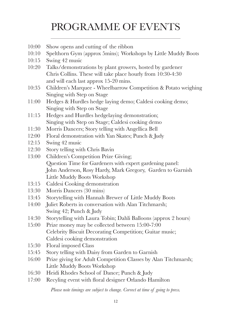## PROGRAMME OF EVENTS

- 10:00 Show opens and cutting of the ribbon
- 10:10 Spelthorn Gym (approx 5mins); Workshops by Little Muddy Boots
- 10:15 Swing 42 music
- 10:20 Talks/demonstrations by plant growers, hosted by gardener Chris Collins. These will take place hourly from 10:30-4:30 and will each last approx 15-20 mins.
- 10:35 Children's Marquee Wheelbarrow Competition & Potato weighing Singing with Step on Stage
- 11:00 Hedges & Hurdles hedge laying demo; Caldesi cooking demo; Singing with Step on Stage
- 11:15 Hedges and Hurdles hedgelaying demonstration; Singing with Step on Stage; Caldesi cooking demo
- 11:30 Morris Dancers; Story telling with Angellica Bell
- 12:00 Floral demonstration with Yan Skates; Punch & Judy
- 12:15 Swing 42 music
- 12:30 Story telling with Chris Bavin
- 13:00 Children's Competition Prize Giving; Question Time for Gardeners with expert gardening panel: John Anderson, Rosy Hardy, Mark Gregory, Garden to Garnish Little Muddy Boots Workshop
- 13:15 Caldesi Cooking demonstration
- 13:30 Morris Dancers (30 mins)
- 13:45 Storytelling with Hannah Brewer of Little Muddy Boots
- 14:00 Juliet Roberts in conversation with Alan Titchmarsh; Swing 42; Punch & Judy
- 14:30 Storytelling with Laura Tobin; Dahli Balloons (approx 2 hours)
- 15:00 Prize money may be collected between 15:00-7:00 Celebrity Biscuit Decorating Competition; Guitar music; Caldesi cooking demonstration
- 15:30 Floral imposed Class
- 15:45 Story telling with Daisy from Garden to Garnish
- 16:00 Prize giving for Adult Competition Classes by Alan Titchmarsh; Little Muddy Boots Workshop
- 16:30 Heidi Rhodes School of Dance; Punch & Judy
- 17:00 Recyling event with floral designer Orlando Hamilton

*Please note timings are subject to change. Correct at time of going to press.*